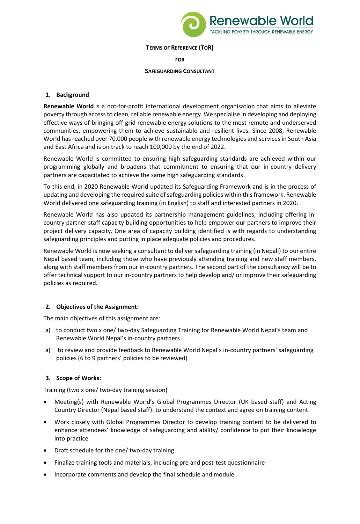

#### **TERMS OF REFERENCE (TOR)**

**FOR** 

#### **SAFEGUARDING CONSULTANT**

#### **1. Background**

**Renewable World** is a not-for-profit international development organisation that aims to alleviate poverty through access to clean, reliable renewable energy. We specialise in developing and deploying effective ways of bringing off-grid renewable energy solutions to the most remote and underserved communities, empowering them to achieve sustainable and resilient lives. Since 2008, Renewable World has reached over 70,000 people with renewable energy technologies and services in South Asia and East Africa and is on track to reach 100,000 by the end of 2022.

Renewable World is committed to ensuring high safeguarding standards are achieved within our programming globally and broadens that commitment to ensuring that our in-country delivery partners are capacitated to achieve the same high safeguarding standards.

To this end, in 2020 Renewable World updated its Safeguarding Framework and is in the process of updating and developing the required suite of safeguarding policies within this framework. Renewable World delivered one safeguarding training (in English) to staff and interested partners in 2020.

Renewable World has also updated its partnership management guidelines, including offering incountry partner staff capacity building opportunities to help empower our partners to improve their project delivery capacity. One area of capacity building identified is with regards to understanding safeguarding principles and putting in place adequate policies and procedures.

Renewable World is now seeking a consultant to deliver safeguarding training (in Nepali) to our entire Nepal based team, including those who have previously attending training and new staff members, along with staff members from our in-country partners. The second part of the consultancy will be to offer technical support to our in-country partners to help develop and/ or improve their safeguarding policies as required.

## **2. Objectives of the Assignment:**

The main objectives of this assignment are:

- a) to conduct two x one/ two-day Safeguarding Training for Renewable World Nepal's team and Renewable World Nepal's in-country partners
- a) to review and provide feedback to Renewable World Nepal's in-country partners' safeguarding policies (6 to 9 partners' policies to be reviewed)

## **3. Scope of Works:**

Training (two x one/ two-day training session)

- Meeting(s) with Renewable World's Global Programmes Director (UK based staff) and Acting Country Director (Nepal based staff): to understand the context and agree on training content
- Work closely with Global Programmes Director to develop training content to be delivered to enhance attendees' knowledge of safeguarding and ability/ confidence to put their knowledge into practice
- Draft schedule for the one/ two-day training
- Finalize training tools and materials, including pre and post-test questionnaire
- Incorporate comments and develop the final schedule and module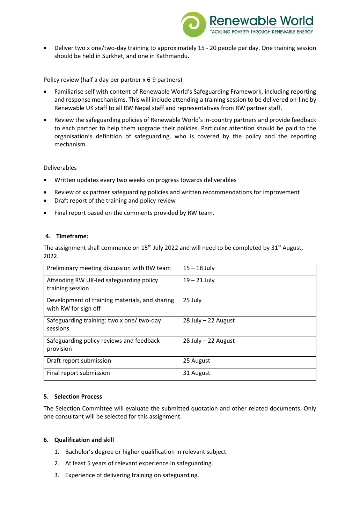

• Deliver two x one/two-day training to approximately 15 - 20 people per day. One training session should be held in Surkhet, and one in Kathmandu.

Policy review (half a day per partner x 6-9 partners)

- Familiarise self with content of Renewable World's Safeguarding Framework, including reporting and response mechanisms. This will include attending a training session to be delivered on-line by Renewable UK staff to all RW Nepal staff and representatives from RW partner staff.
- Review the safeguarding policies of Renewable World's in-country partners and provide feedback to each partner to help them upgrade their policies. Particular attention should be paid to the organisation's definition of safeguarding, who is covered by the policy and the reporting mechanism.

#### Deliverables

- Written updates every two weeks on progress towards deliverables
- Review of xx partner safeguarding policies and written recommendations for improvement
- Draft report of the training and policy review
- Final report based on the comments provided by RW team.

## **4. Timeframe:**

The assignment shall commence on 15<sup>th</sup> July 2022 and will need to be completed by 31<sup>st</sup> August, 2022.

| Preliminary meeting discussion with RW team                            | $15 - 18$ July         |
|------------------------------------------------------------------------|------------------------|
| Attending RW UK-led safeguarding policy<br>training session            | $19 - 21$ July         |
|                                                                        |                        |
| Development of training materials, and sharing<br>with RW for sign off | 25 July                |
| Safeguarding training: two x one/ two-day<br>sessions                  | $28$ July $-22$ August |
| Safeguarding policy reviews and feedback<br>provision                  | $28$ July $-22$ August |
| Draft report submission                                                | 25 August              |
| Final report submission                                                | 31 August              |

## **5. Selection Process**

The Selection Committee will evaluate the submitted quotation and other related documents. Only one consultant will be selected for this assignment.

#### **6. Qualification and skill**

- 1. Bachelor's degree or higher qualification in relevant subject.
- 2. At least 5 years of relevant experience in safeguarding.
- 3. Experience of delivering training on safeguarding.